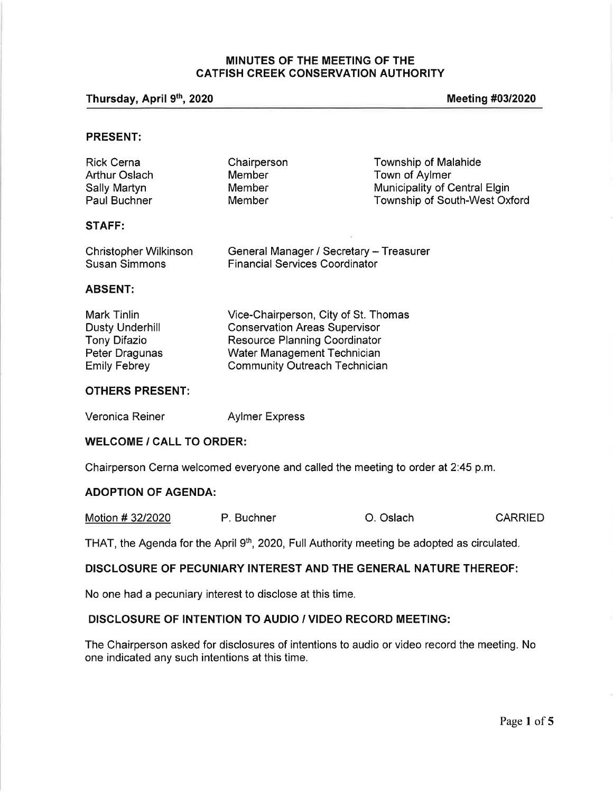### MINUTES OF THE MEETING OF THE **CATFISH CREEK CONSERVATION AUTHORITY**

#### Thursday, April 9th, 2020

Meeting #03/2020

#### **PRESENT:**

| <b>Rick Cerna</b><br><b>Arthur Oslach</b><br>Sally Martyn<br><b>Paul Buchner</b> | Chairperson<br>Member<br>Member<br>Member                                                                            | <b>Township of Malahide</b><br>Town of Aylmer<br>Municipality of Central Elgin<br>Township of South-West Oxford |  |
|----------------------------------------------------------------------------------|----------------------------------------------------------------------------------------------------------------------|-----------------------------------------------------------------------------------------------------------------|--|
| <b>STAFF:</b>                                                                    |                                                                                                                      |                                                                                                                 |  |
| Christopher Wilkinson<br><b>Susan Simmons</b>                                    | General Manager / Secretary - Treasurer<br><b>Financial Services Coordinator</b>                                     |                                                                                                                 |  |
| <b>ABSENT:</b>                                                                   |                                                                                                                      |                                                                                                                 |  |
| Mark Tinlin<br>Dusty Underhill<br><b>Tony Difazio</b>                            | Vice-Chairperson, City of St. Thomas<br><b>Conservation Areas Supervisor</b><br><b>Resource Planning Coordinator</b> |                                                                                                                 |  |

Water Management Technician

**Community Outreach Technician** 

#### **OTHERS PRESENT:**

Peter Dragunas

**Emily Febrey** 

Veronica Reiner **Aylmer Express** 

#### **WELCOME / CALL TO ORDER:**

Chairperson Cerna welcomed everyone and called the meeting to order at 2:45 p.m.

#### **ADOPTION OF AGENDA:**

|  | Motion # 32/2020 | P. Buchner | O. Oslach | <b>CARRIED</b> |
|--|------------------|------------|-----------|----------------|
|--|------------------|------------|-----------|----------------|

THAT, the Agenda for the April 9<sup>th</sup>, 2020, Full Authority meeting be adopted as circulated.

#### **DISCLOSURE OF PECUNIARY INTEREST AND THE GENERAL NATURE THEREOF:**

No one had a pecuniary interest to disclose at this time.

### **DISCLOSURE OF INTENTION TO AUDIO / VIDEO RECORD MEETING:**

The Chairperson asked for disclosures of intentions to audio or video record the meeting. No one indicated any such intentions at this time.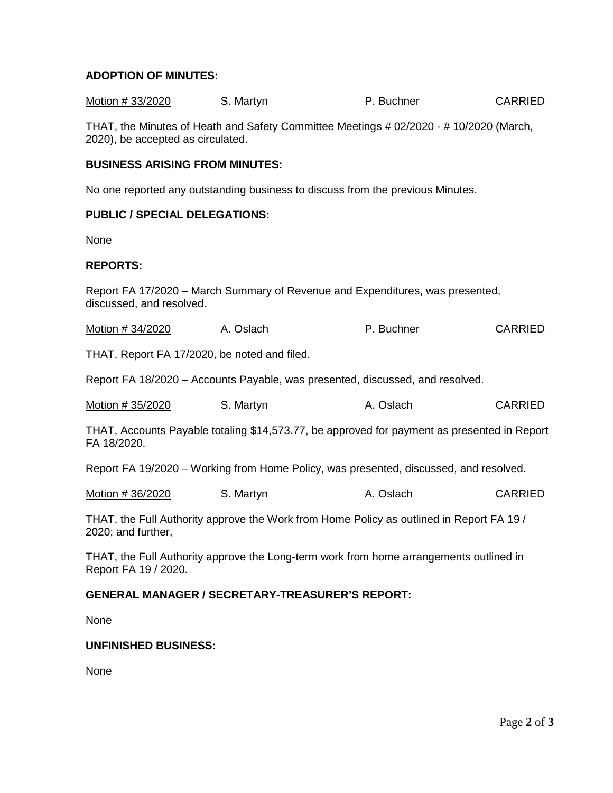### **ADOPTION OF MINUTES:**

| Motion # 33/2020 | S. Martyn | P. Buchner | <b>CARRIED</b> |
|------------------|-----------|------------|----------------|
|------------------|-----------|------------|----------------|

THAT, the Minutes of Heath and Safety Committee Meetings # 02/2020 - # 10/2020 (March, 2020), be accepted as circulated.

### **BUSINESS ARISING FROM MINUTES:**

No one reported any outstanding business to discuss from the previous Minutes.

### **PUBLIC / SPECIAL DELEGATIONS:**

None

#### **REPORTS:**

Report FA 17/2020 – March Summary of Revenue and Expenditures, was presented, discussed, and resolved.

| Motion # 34/2020 | A. Oslach | P. Buchner | <b>CARRIED</b> |
|------------------|-----------|------------|----------------|
|                  |           |            |                |

THAT, Report FA 17/2020, be noted and filed.

Report FA 18/2020 – Accounts Payable, was presented, discussed, and resolved.

| Motion # 35/2020 | S. Martyn | A. Oslach | <b>CARRIED</b> |
|------------------|-----------|-----------|----------------|
|                  |           |           |                |

THAT, Accounts Payable totaling \$14,573.77, be approved for payment as presented in Report FA 18/2020.

Report FA 19/2020 – Working from Home Policy, was presented, discussed, and resolved.

Motion # 36/2020 S. Martyn A. Oslach CARRIED

THAT, the Full Authority approve the Work from Home Policy as outlined in Report FA 19 / 2020; and further,

THAT, the Full Authority approve the Long-term work from home arrangements outlined in Report FA 19 / 2020.

## **GENERAL MANAGER / SECRETARY-TREASURER'S REPORT:**

None

### **UNFINISHED BUSINESS:**

None